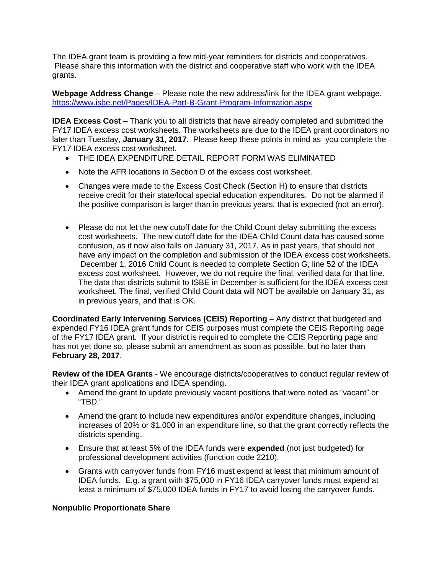The IDEA grant team is providing a few mid-year reminders for districts and cooperatives. Please share this information with the district and cooperative staff who work with the IDEA grants.

**Webpage Address Change** – Please note the new address/link for the IDEA grant webpage. <https://www.isbe.net/Pages/IDEA-Part-B-Grant-Program-Information.aspx>

**IDEA Excess Cost** – Thank you to all districts that have already completed and submitted the FY17 IDEA excess cost worksheets. The worksheets are due to the IDEA grant coordinators no later than Tuesday, **January 31, 2017**. Please keep these points in mind as you complete the FY17 IDEA excess cost worksheet.

- THE IDEA EXPENDITURE DETAIL REPORT FORM WAS ELIMINATED
- Note the AFR locations in Section D of the excess cost worksheet.
- Changes were made to the Excess Cost Check (Section H) to ensure that districts receive credit for their state/local special education expenditures. Do not be alarmed if the positive comparison is larger than in previous years, that is expected (not an error).
- Please do not let the new cutoff date for the Child Count delay submitting the excess cost worksheets. The new cutoff date for the IDEA Child Count data has caused some confusion, as it now also falls on January 31, 2017. As in past years, that should not have any impact on the completion and submission of the IDEA excess cost worksheets. December 1, 2016 Child Count is needed to complete Section G, line 52 of the IDEA excess cost worksheet. However, we do not require the final, verified data for that line. The data that districts submit to ISBE in December is sufficient for the IDEA excess cost worksheet. The final, verified Child Count data will NOT be available on January 31, as in previous years, and that is OK.

**Coordinated Early Intervening Services (CEIS) Reporting – Any district that budgeted and** expended FY16 IDEA grant funds for CEIS purposes must complete the CEIS Reporting page of the FY17 IDEA grant. If your district is required to complete the CEIS Reporting page and has not yet done so, please submit an amendment as soon as possible, but no later than **February 28, 2017**.

**Review of the IDEA Grants** - We encourage districts/cooperatives to conduct regular review of their IDEA grant applications and IDEA spending.

- Amend the grant to update previously vacant positions that were noted as "vacant" or "TBD."
- Amend the grant to include new expenditures and/or expenditure changes, including increases of 20% or \$1,000 in an expenditure line, so that the grant correctly reflects the districts spending.
- Ensure that at least 5% of the IDEA funds were **expended** (not just budgeted) for professional development activities (function code 2210).
- Grants with carryover funds from FY16 must expend at least that minimum amount of IDEA funds. E.g. a grant with \$75,000 in FY16 IDEA carryover funds must expend at least a minimum of \$75,000 IDEA funds in FY17 to avoid losing the carryover funds.

## **Nonpublic Proportionate Share**